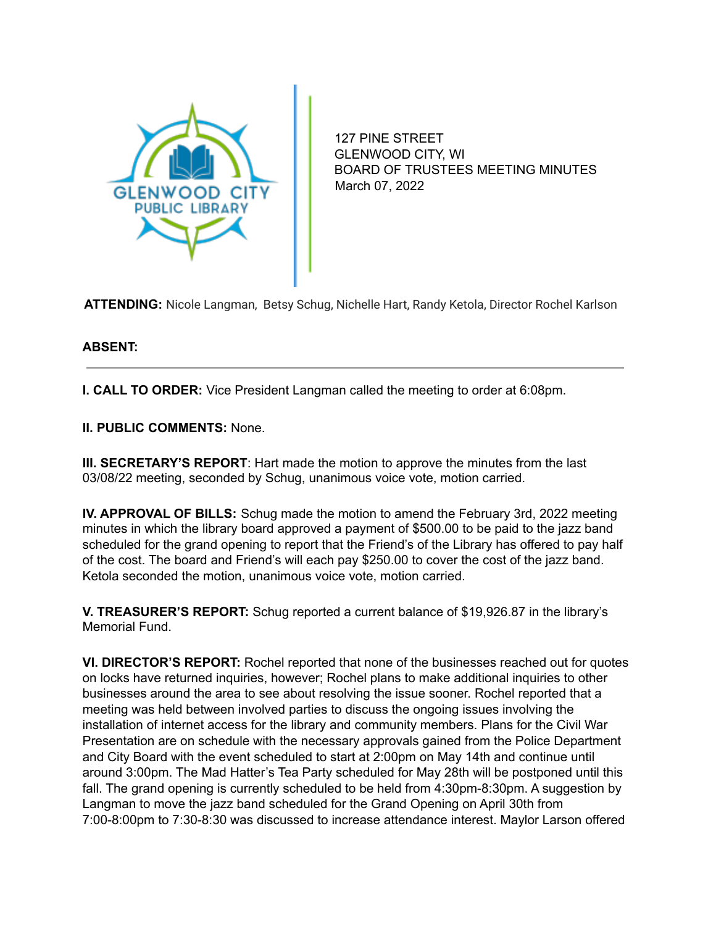

127 PINE STREET GLENWOOD CITY, WI BOARD OF TRUSTEES MEETING MINUTES March 07, 2022

**ATTENDING:** Nicole Langman, Betsy Schug, Nichelle Hart, Randy Ketola, Director Rochel Karlson

## **ABSENT:**

**I. CALL TO ORDER:** Vice President Langman called the meeting to order at 6:08pm.

**II. PUBLIC COMMENTS:** None.

**III. SECRETARY'S REPORT**: Hart made the motion to approve the minutes from the last 03/08/22 meeting, seconded by Schug, unanimous voice vote, motion carried.

**IV. APPROVAL OF BILLS:** Schug made the motion to amend the February 3rd, 2022 meeting minutes in which the library board approved a payment of \$500.00 to be paid to the jazz band scheduled for the grand opening to report that the Friend's of the Library has offered to pay half of the cost. The board and Friend's will each pay \$250.00 to cover the cost of the jazz band. Ketola seconded the motion, unanimous voice vote, motion carried.

**V. TREASURER'S REPORT:** Schug reported a current balance of \$19,926.87 in the library's Memorial Fund.

**VI. DIRECTOR'S REPORT:** Rochel reported that none of the businesses reached out for quotes on locks have returned inquiries, however; Rochel plans to make additional inquiries to other businesses around the area to see about resolving the issue sooner. Rochel reported that a meeting was held between involved parties to discuss the ongoing issues involving the installation of internet access for the library and community members. Plans for the Civil War Presentation are on schedule with the necessary approvals gained from the Police Department and City Board with the event scheduled to start at 2:00pm on May 14th and continue until around 3:00pm. The Mad Hatter's Tea Party scheduled for May 28th will be postponed until this fall. The grand opening is currently scheduled to be held from 4:30pm-8:30pm. A suggestion by Langman to move the jazz band scheduled for the Grand Opening on April 30th from 7:00-8:00pm to 7:30-8:30 was discussed to increase attendance interest. Maylor Larson offered